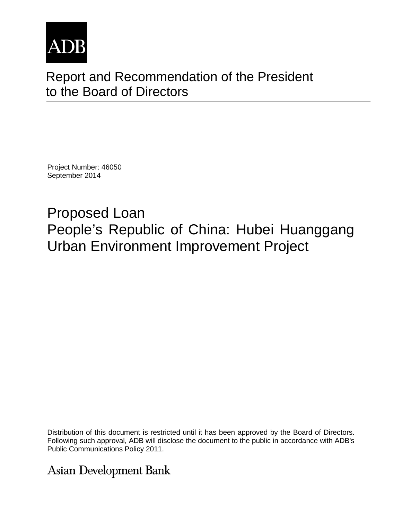

# Report and Recommendation of the President to the Board of Directors

Project Number: 46050 September 2014

Proposed Loan People's Republic of China: Hubei Huanggang Urban Environment Improvement Project

Distribution of this document is restricted until it has been approved by the Board of Directors. Following such approval, ADB will disclose the document to the public in accordance with ADB's Public Communications Policy 2011.

**Asian Development Bank**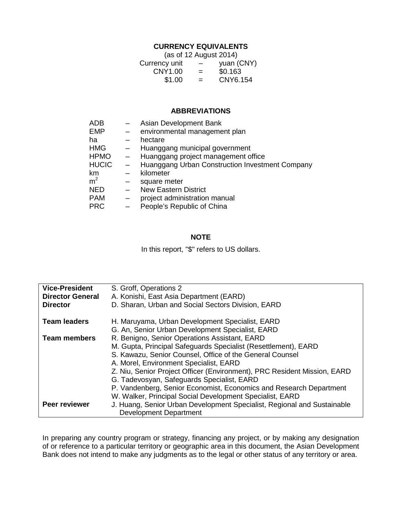## **CURRENCY EQUIVALENTS**

|               | (as of 12 August 2014)   |            |
|---------------|--------------------------|------------|
| Currency unit | $\overline{\phantom{m}}$ | yuan (CNY) |
| CNY1.00       | $=$                      | \$0.163    |
| \$1.00        | $=$                      | CNY6.154   |

#### **ABBREVIATIONS**

|                          | Asian Development Bank                          |
|--------------------------|-------------------------------------------------|
|                          | environmental management plan                   |
|                          | hectare                                         |
| $\qquad \qquad -$        | Huanggang municipal government                  |
| $\sim$ .                 | Huanggang project management office             |
| $\overline{\phantom{m}}$ | Huanggang Urban Construction Investment Company |
|                          | kilometer                                       |
|                          | square meter                                    |
| $\qquad \qquad$          | <b>New Eastern District</b>                     |
|                          | project administration manual                   |
|                          | People's Republic of China                      |
|                          |                                                 |

## **NOTE**

In this report, "\$" refers to US dollars.

| <b>Vice-President</b>   | S. Groff, Operations 2                                                                                                 |
|-------------------------|------------------------------------------------------------------------------------------------------------------------|
| <b>Director General</b> | A. Konishi, East Asia Department (EARD)                                                                                |
| <b>Director</b>         | D. Sharan, Urban and Social Sectors Division, EARD                                                                     |
| <b>Team leaders</b>     | H. Maruyama, Urban Development Specialist, EARD<br>G. An, Senior Urban Development Specialist, EARD                    |
| <b>Team members</b>     | R. Benigno, Senior Operations Assistant, EARD                                                                          |
|                         |                                                                                                                        |
|                         | M. Gupta, Principal Safeguards Specialist (Resettlement), EARD                                                         |
|                         | S. Kawazu, Senior Counsel, Office of the General Counsel                                                               |
|                         | A. Morel, Environment Specialist, EARD                                                                                 |
|                         | Z. Niu, Senior Project Officer (Environment), PRC Resident Mission, EARD<br>G. Tadevosyan, Safeguards Specialist, EARD |
|                         | P. Vandenberg, Senior Economist, Economics and Research Department                                                     |
|                         | W. Walker, Principal Social Development Specialist, EARD                                                               |
|                         |                                                                                                                        |
| Peer reviewer           | J. Huang, Senior Urban Development Specialist, Regional and Sustainable                                                |
|                         | <b>Development Department</b>                                                                                          |

In preparing any country program or strategy, financing any project, or by making any designation of or reference to a particular territory or geographic area in this document, the Asian Development Bank does not intend to make any judgments as to the legal or other status of any territory or area.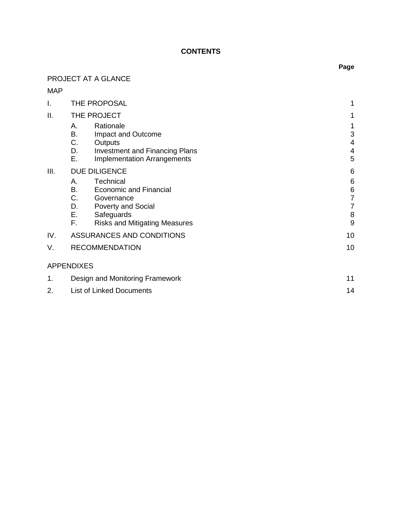## **CONTENTS**

# PROJECT AT A GLANCE

# MAP

| I.                 | THE PROPOSAL                                                                                                                                                                    |                                                                        |
|--------------------|---------------------------------------------------------------------------------------------------------------------------------------------------------------------------------|------------------------------------------------------------------------|
| ΙΙ.<br>THE PROJECT |                                                                                                                                                                                 | 1                                                                      |
|                    | Rationale<br>А.<br>В.<br>Impact and Outcome<br>C.<br>Outputs<br>D.<br><b>Investment and Financing Plans</b><br>Е.<br><b>Implementation Arrangements</b>                         | 1<br>3<br>4<br>4<br>5                                                  |
| III.               | <b>DUE DILIGENCE</b>                                                                                                                                                            | $6\phantom{1}6$                                                        |
|                    | Technical<br>А.<br><b>Economic and Financial</b><br>В.<br>C.<br>Governance<br>D.<br><b>Poverty and Social</b><br>Е.<br>Safeguards<br>F.<br><b>Risks and Mitigating Measures</b> | $6\phantom{1}6$<br>$\,6$<br>$\overline{7}$<br>$\overline{7}$<br>8<br>9 |
| IV.                | ASSURANCES AND CONDITIONS                                                                                                                                                       | 10                                                                     |
| V.                 | <b>RECOMMENDATION</b>                                                                                                                                                           | 10                                                                     |
|                    | <b>APPENDIXES</b>                                                                                                                                                               |                                                                        |
| 1.                 | Design and Monitoring Framework                                                                                                                                                 |                                                                        |
| 2.                 | <b>List of Linked Documents</b>                                                                                                                                                 |                                                                        |

## **Page**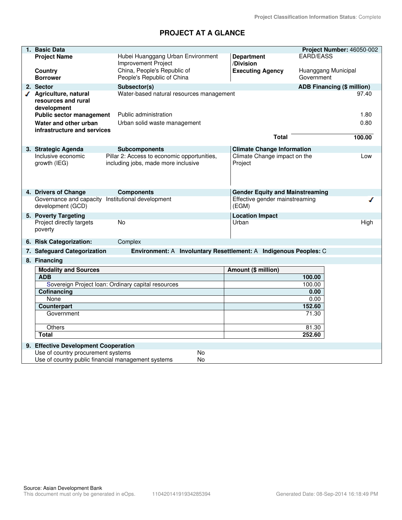# **PROJECT AT A GLANCE**

| 1. Basic Data                                        |                                                                                    |                                         | Project Number: 46050-002         |
|------------------------------------------------------|------------------------------------------------------------------------------------|-----------------------------------------|-----------------------------------|
| <b>Project Name</b>                                  | Hubei Huanggang Urban Environment                                                  | <b>Department</b>                       | <b>EARD/EASS</b>                  |
|                                                      | <b>Improvement Project</b>                                                         | /Division                               |                                   |
| Country                                              | China, People's Republic of                                                        | <b>Executing Agency</b>                 | Huanggang Municipal               |
| <b>Borrower</b>                                      | People's Republic of China                                                         |                                         | Government                        |
| 2. Sector                                            | Subsector(s)                                                                       |                                         | <b>ADB Financing (\$ million)</b> |
| √ Agriculture, natural                               | Water-based natural resources management                                           |                                         | 97.40                             |
| resources and rural                                  |                                                                                    |                                         |                                   |
| development<br><b>Public sector management</b>       | Public administration                                                              |                                         | 1.80                              |
|                                                      |                                                                                    |                                         |                                   |
| Water and other urban<br>infrastructure and services | Urban solid waste management                                                       |                                         | 0.80                              |
|                                                      |                                                                                    | <b>Total</b>                            | 100.00                            |
|                                                      |                                                                                    |                                         |                                   |
| 3. Strategic Agenda                                  | <b>Subcomponents</b>                                                               | <b>Climate Change Information</b>       |                                   |
| Inclusive economic<br>growth (IEG)                   | Pillar 2: Access to economic opportunities,<br>including jobs, made more inclusive | Climate Change impact on the<br>Project | Low                               |
|                                                      |                                                                                    |                                         |                                   |
|                                                      |                                                                                    |                                         |                                   |
|                                                      |                                                                                    |                                         |                                   |
| 4. Drivers of Change                                 | <b>Components</b>                                                                  | <b>Gender Equity and Mainstreaming</b>  |                                   |
| Governance and capacity Institutional development    |                                                                                    | Effective gender mainstreaming          |                                   |
| development (GCD)                                    |                                                                                    | (EGM)                                   |                                   |
| 5. Poverty Targeting                                 |                                                                                    | <b>Location Impact</b>                  |                                   |
| Project directly targets                             | <b>No</b>                                                                          | Urban                                   | High                              |
| poverty                                              |                                                                                    |                                         |                                   |
| 6. Risk Categorization:                              | Complex                                                                            |                                         |                                   |
| 7. Safeguard Categorization                          | Environment: A Involuntary Resettlement: A Indigenous Peoples: C                   |                                         |                                   |
| 8. Financing                                         |                                                                                    |                                         |                                   |
|                                                      |                                                                                    |                                         |                                   |
| <b>Modality and Sources</b><br><b>ADB</b>            |                                                                                    | Amount (\$ million)                     | 100.00                            |
|                                                      | Sovereign Project Ioan: Ordinary capital resources                                 |                                         | 100.00                            |
| Cofinancing                                          |                                                                                    |                                         | 0.00                              |
| None                                                 |                                                                                    |                                         | 0.00                              |
| Counterpart                                          |                                                                                    |                                         | 152.60                            |
| Government                                           |                                                                                    |                                         | 71.30                             |
|                                                      |                                                                                    |                                         |                                   |
| Others                                               |                                                                                    |                                         | 81.30                             |
| Total                                                |                                                                                    |                                         | 252.60                            |
| 9. Effective Development Cooperation                 |                                                                                    |                                         |                                   |
| Use of country procurement systems                   | <b>No</b>                                                                          |                                         |                                   |
| Use of country public financial management systems   | <b>No</b>                                                                          |                                         |                                   |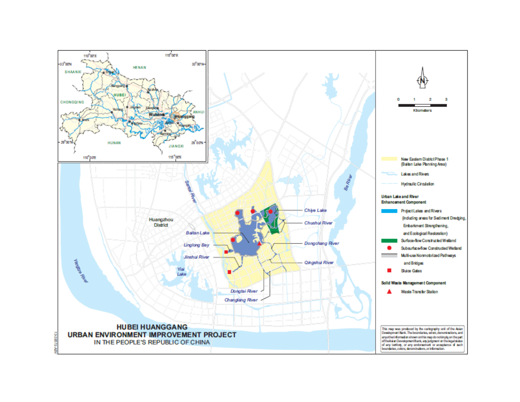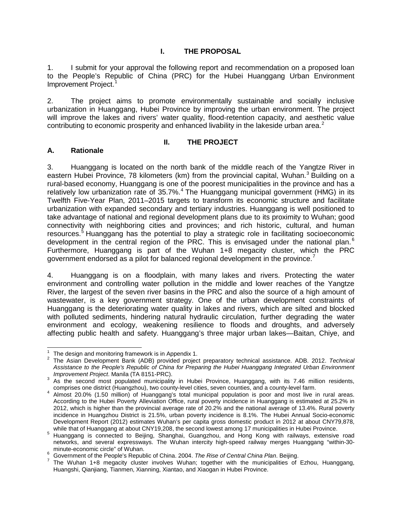## **I. THE PROPOSAL**

<span id="page-5-0"></span>1. I submit for your approval the following report and recommendation on a proposed loan to the People's Republic of China (PRC) for the Hubei Huanggang Urban Environment Improvement Project. [1](#page-5-3)

2. The project aims to promote environmentally sustainable and socially inclusive urbanization in Huanggang, Hubei Province by improving the urban environment. The project will improve the lakes and rivers' water quality, flood-retention capacity, and aesthetic value contributing to economic prosperity and enhanced livability in the lakeside urban area.<sup>[2](#page-5-4)</sup>

#### **II. THE PROJECT**

## <span id="page-5-2"></span><span id="page-5-1"></span>**A. Rationale**

3. Huanggang is located on the north bank of the middle reach of the Yangtze River in eastern Hubei Province, 78 kilometers (km) from the provincial capital, Wuhan.<sup>[3](#page-5-5)</sup> Building on a rural-based economy, Huanggang is one of the poorest municipalities in the province and has a relatively low urbanization rate of  $35.7\%$ .<sup>[4](#page-5-6)</sup> The Huanggang municipal government (HMG) in its Twelfth Five-Year Plan, 2011–2015 targets to transform its economic structure and facilitate urbanization with expanded secondary and tertiary industries. Huanggang is well positioned to take advantage of national and regional development plans due to its proximity to Wuhan; good connectivity with neighboring cities and provinces; and rich historic, cultural, and human resources.<sup>[5](#page-5-7)</sup> Huanggang has the potential to play a strategic role in facilitating socioeconomic development in the central region of the PRC. This is envisaged under the national plan.<sup>[6](#page-5-8)</sup> Furthermore, Huanggang is part of the Wuhan 1+8 megacity cluster, which the PRC government endorsed as a pilot for balanced regional development in the province.

4. Huanggang is on a floodplain, with many lakes and rivers. Protecting the water environment and controlling water pollution in the middle and lower reaches of the Yangtze River, the largest of the seven river basins in the PRC and also the source of a high amount of wastewater, is a key government strategy. One of the urban development constraints of Huanggang is the deteriorating water quality in lakes and rivers, which are silted and blocked with polluted sediments, hindering natural hydraulic circulation, further degrading the water environment and ecology, weakening resilience to floods and droughts, and adversely affecting public health and safety. Huanggang's three major urban lakes—Baitan, Chiye, and

 $1$  The design and monitoring framework is in Appendix 1.

<span id="page-5-4"></span><span id="page-5-3"></span><sup>&</sup>lt;sup>2</sup> The Asian Development Bank (ADB) provided project preparatory technical assistance. ADB. 2012. *Technical Assistance to the People's Republic of China for Preparing the Hubei Huanggang Integrated Urban Environment* 

<span id="page-5-5"></span>*Improvement Project.* Manila (TA 8151-Pro).<br><sup>3</sup> As the second most populated municipality in Hubei Province, Huanggang, with its 7.46 million residents, comprises one district (Huangzhou), two county-level cities, seven counties, and a county-level farm.<br>4 Almost 20.0% (1.50 million) of Huanggang's total municipal population is poor and most live in rural areas.

<span id="page-5-6"></span>According to the Hubei Poverty Alleviation Office, rural poverty incidence in Huanggang is estimated at 25.2% in 2012, which is higher than the provincial average rate of 20.2% and the national average of 13.4%. Rural poverty incidence in Huangzhou District is 21.5%, urban poverty incidence is 8.1%. The Hubei Annual Socio-economic Development Report (2012) estimates Wuhan's per capita gross domestic product in 2012 at about CNY79,878,

<span id="page-5-7"></span>while that of Huanggang at about CNY19,208, the second lowest among 17 municipalities in Hubei Province.<br><sup>5</sup> Huanggang is connected to Beijing, Shanghai, Guangzhou, and Hong Kong with railways, extensive road networks, and several expressways. The Wuhan intercity high-speed railway merges Huanggang "within-30-

<span id="page-5-9"></span><span id="page-5-8"></span><sup>&</sup>lt;sup>6</sup> Government of the People's Republic of China. 2004. The Rise of Central China Plan. Beijing.<br><sup>7</sup> The Wuhan 1+8 megacity cluster involves Wuhan; together with the municipalities of Ezhou, Huanggang, Huangshi, Qianjiang, Tianmen, Xianning, Xiantao, and Xiaogan in Hubei Province.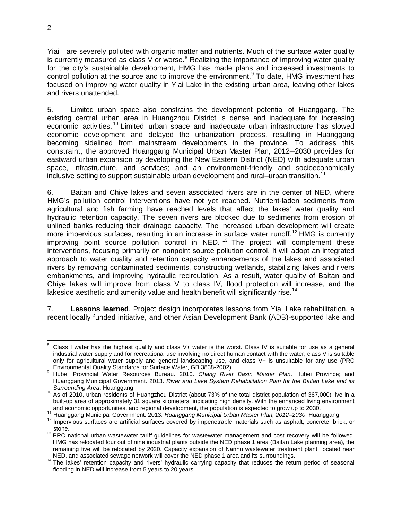Yiai—are severely polluted with organic matter and nutrients. Much of the surface water quality is currently measured as class V or worse. $8$  Realizing the importance of improving water quality for the city's sustainable development, HMG has made plans and increased investments to control pollution at the source and to improve the environment.<sup>[9](#page-6-1)</sup> To date, HMG investment has focused on improving water quality in Yiai Lake in the existing urban area, leaving other lakes and rivers unattended.

5. Limited urban space also constrains the development potential of Huanggang. The existing central urban area in Huangzhou District is dense and inadequate for increasing economic activities.<sup>[10](#page-6-2)</sup> Limited urban space and inadequate urban infrastructure has slowed economic development and delayed the urbanization process, resulting in Huanggang becoming sidelined from mainstream developments in the province. To address this constraint, the approved Huanggang Municipal Urban Master Plan, 2012─2030 provides for eastward urban expansion by developing the New Eastern District (NED) with adequate urban space, infrastructure, and services; and an environment-friendly and socioeconomically inclusive setting to support sustainable urban development and rural–urban transition.<sup>[11](#page-6-3)</sup>

6. Baitan and Chiye lakes and seven associated rivers are in the center of NED, where HMG's pollution control interventions have not yet reached. Nutrient-laden sediments from agricultural and fish farming have reached levels that affect the lakes' water quality and hydraulic retention capacity. The seven rivers are blocked due to sediments from erosion of unlined banks reducing their drainage capacity. The increased urban development will create more impervious surfaces, resulting in an increase in surface water runoff.<sup>[12](#page-6-4)</sup> HMG is currently improving point source pollution control in NED.  $^{13}$  $^{13}$  $^{13}$  The project will complement these interventions, focusing primarily on nonpoint source pollution control. It will adopt an integrated approach to water quality and retention capacity enhancements of the lakes and associated rivers by removing contaminated sediments, constructing wetlands, stabilizing lakes and rivers embankments, and improving hydraulic recirculation. As a result, water quality of Baitan and Chiye lakes will improve from class V to class IV, flood protection will increase, and the lakeside aesthetic and amenity value and health benefit will significantly rise.<sup>[14](#page-6-6)</sup>

7. **Lessons learned**. Project design incorporates lessons from Yiai Lake rehabilitation, a recent locally funded initiative, and other Asian Development Bank (ADB)-supported lake and

<span id="page-6-0"></span>Class I water has the highest quality and class V+ water is the worst. Class IV is suitable for use as a general industrial water supply and for recreational use involving no direct human contact with the water, class V is suitable only for agricultural water supply and general landscaping use, and class V+ is unsuitable for any use (PRC<br>Environmental Quality Standards for Surface Water, GB 3838-2002). 8

<span id="page-6-1"></span>Environmental Quality Standards for Surface Water, GB 3838-2002). <sup>9</sup> Hubei Provincial Water Resources Bureau. 2010. *Chang River Basin Master Plan*. Hubei Province; and Huanggang Municipal Government. 2013. *River and Lake System Rehabilitation Plan for the Baitan Lake and its Surrounding Area*. Huanggang. <sup>10</sup> As of 2010, urban residents of Huangzhou District (about 73% of the total district population of 367,000) live in a

<span id="page-6-2"></span>built-up area of approximately 31 square kilometers, indicating high density. With the enhanced living environment and economic opportunities, and regional development, the population is expected to grow up to 2030.

<span id="page-6-4"></span><span id="page-6-3"></span><sup>11</sup> Huanggang Municipal Government. 2013. Huanggang Municipal Urban Master Plan, 2012–2030. Huanggang.<br><sup>12</sup> Impervious surfaces are artificial surfaces covered by impenetrable materials such as asphalt, concrete, brick, or stone.<br><sup>13</sup> PRC national urban wastewater tariff guidelines for wastewater management and cost recovery will be followed.

<span id="page-6-5"></span>HMG has relocated four out of nine industrial plants outside the NED phase 1 area (Baitan Lake planning area), the remaining five will be relocated by 2020. Capacity expansion of Nanhu wastewater treatment plant, located near<br>NED, and associated sewage network will cover the NED phase 1 area and its surroundings.

<span id="page-6-6"></span><sup>&</sup>lt;sup>14</sup> The lakes' retention capacity and rivers' hydraulic carrying capacity that reduces the return period of seasonal flooding in NED will increase from 5 years to 20 years.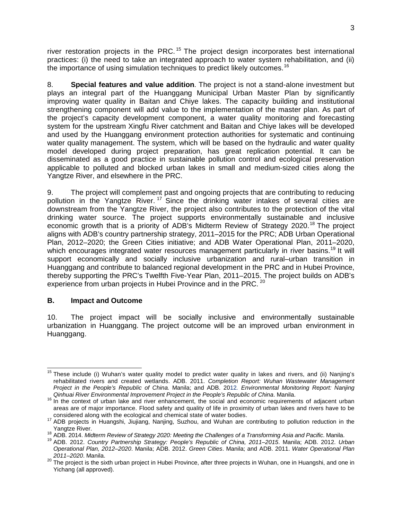river restoration projects in the PRC.<sup>[15](#page-7-1)</sup> The project design incorporates best international practices: (i) the need to take an integrated approach to water system rehabilitation, and (ii) the importance of using simulation techniques to predict likely outcomes.<sup>[16](#page-7-2)</sup>

8. **Special features and value addition**. The project is not a stand-alone investment but plays an integral part of the Huanggang Municipal Urban Master Plan by significantly improving water quality in Baitan and Chiye lakes. The capacity building and institutional strengthening component will add value to the implementation of the master plan. As part of the project's capacity development component, a water quality monitoring and forecasting system for the upstream Xingfu River catchment and Baitan and Chiye lakes will be developed and used by the Huanggang environment protection authorities for systematic and continuing water quality management. The system, which will be based on the hydraulic and water quality model developed during project preparation, has great replication potential. It can be disseminated as a good practice in sustainable pollution control and ecological preservation applicable to polluted and blocked urban lakes in small and medium-sized cities along the Yangtze River, and elsewhere in the PRC.

9. The project will complement past and ongoing projects that are contributing to reducing pollution in the Yangtze River.<sup>[17](#page-7-3)</sup> Since the drinking water intakes of several cities are downstream from the Yangtze River, the project also contributes to the protection of the vital drinking water source. The project supports environmentally sustainable and inclusive economic growth that is a priority of ADB's Midterm Review of Strategy 2020.<sup>[18](#page-7-4)</sup> The project aligns with ADB's country partnership strategy, 2011–2015 for the PRC; ADB Urban Operational Plan, 2012–2020; the Green Cities initiative; and ADB Water Operational Plan, 2011–2020, which encourages integrated water resources management particularly in river basins.<sup>[19](#page-7-5)</sup> It will support economically and socially inclusive urbanization and rural–urban transition in Huanggang and contribute to balanced regional development in the PRC and in Hubei Province, thereby supporting the PRC's Twelfth Five-Year Plan, 2011–2015. The project builds on ADB's experience from urban projects in Hubei Province and in the PRC.<sup>[20](#page-7-6)</sup>

## <span id="page-7-0"></span>**B. Impact and Outcome**

10. The project impact will be socially inclusive and environmentally sustainable urbanization in Huanggang. The project outcome will be an improved urban environment in Huanggang.

<span id="page-7-1"></span><sup>&</sup>lt;sup>15</sup> These include (i) Wuhan's water quality model to predict water quality in lakes and rivers, and (ii) Nanjing's rehabilitated rivers and created wetlands. ADB. 2011. *Completion Report: Wuhan Wastewater Management Project in the People's Republic of China.* Manila; and ADB. 2012*. Environmental Monitoring Report: Nanjing*   $\overline{\phantom{a}}$ 

<span id="page-7-2"></span><sup>&</sup>lt;sup>16</sup> In the context of urban lake and river enhancement, the social and economic requirements of adjacent urban areas are of major importance. Flood safety and quality of life in proximity of urban lakes and rivers have to be considered along with the ecological and chemical state of water bodies.

<span id="page-7-3"></span>considered along with the ecological and chemical state of water bodies. <sup>17</sup> ADB projects in Huangshi, Jiujiang, Nanjing, Suzhou, and Wuhan are contributing to pollution reduction in the Yangtze River.<br><sup>18</sup> ADB. 2014. Midterm Review of Strategy 2020: Meeting the Challenges of a Transforming Asia and Pacific. Manila.<br><sup>19</sup> ADB. 2012. Country Partnership Strategy: People's Republic of China, 2011–2015. Manila

<span id="page-7-4"></span>

<span id="page-7-5"></span>*Operational Plan, 2012–2020*. Manila; ADB. 2012. *Green Cities*. Manila; and ADB. 2011. *Water Operational Plan* 

<span id="page-7-6"></span>*<sup>2011–2020</sup>*. Manila. <sup>20</sup> The project is the sixth urban project in Hubei Province, after three projects in Wuhan, one in Huangshi, and one in Yichang (all approved).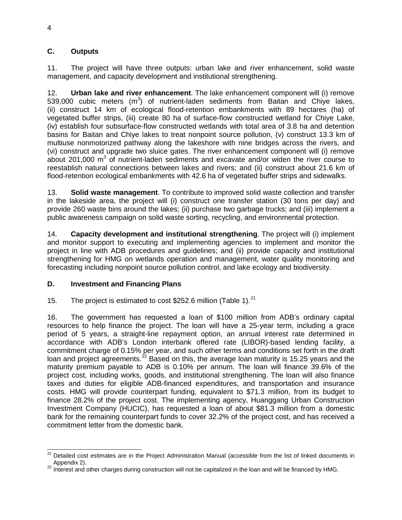## <span id="page-8-0"></span>**C. Outputs**

11. The project will have three outputs: urban lake and river enhancement, solid waste management, and capacity development and institutional strengthening.

12. **Urban lake and river enhancement**. The lake enhancement component will (i) remove 539,000 cubic meters  $(m^3)$  of nutrient-laden sediments from Baitan and Chiye lakes, (ii) construct 14 km of ecological flood-retention embankments with 89 hectares (ha) of vegetated buffer strips, (iii) create 80 ha of surface-flow constructed wetland for Chiye Lake, (iv) establish four subsurface-flow constructed wetlands with total area of 3.8 ha and detention basins for Baitan and Chiye lakes to treat nonpoint source pollution, (v) construct 13.3 km of multiuse nonmotorized pathway along the lakeshore with nine bridges across the rivers, and (vi) construct and upgrade two sluice gates. The river enhancement component will (i) remove about 201,000  $m<sup>3</sup>$  of nutrient-laden sediments and excavate and/or widen the river course to reestablish natural connections between lakes and rivers; and (ii) construct about 21.6 km of flood-retention ecological embankments with 42.6 ha of vegetated buffer strips and sidewalks.

13. **Solid waste management**. To contribute to improved solid waste collection and transfer in the lakeside area, the project will (i) construct one transfer station (30 tons per day) and provide 260 waste bins around the lakes; (ii) purchase two garbage trucks; and (iii) implement a public awareness campaign on solid waste sorting, recycling, and environmental protection.

14. **Capacity development and institutional strengthening**. The project will (i) implement and monitor support to executing and implementing agencies to implement and monitor the project in line with ADB procedures and guidelines; and (ii) provide capacity and institutional strengthening for HMG on wetlands operation and management, water quality monitoring and forecasting including nonpoint source pollution control, and lake ecology and biodiversity.

## <span id="page-8-1"></span>**D. Investment and Financing Plans**

15. The project is estimated to cost \$252.6 million (Table 1). $^{21}$  $^{21}$  $^{21}$ 

16. The government has requested a loan of \$100 million from ADB's ordinary capital resources to help finance the project. The loan will have a 25-year term, including a grace period of 5 years, a straight-line repayment option, an annual interest rate determined in accordance with ADB's London interbank offered rate (LIBOR)-based lending facility, a commitment charge of 0.15% per year, and such other terms and conditions set forth in the draft loan and project agreements.<sup>[22](#page-8-3)</sup> Based on this, the average loan maturity is 15.25 years and the maturity premium payable to ADB is 0.10% per annum. The loan will finance 39.6% of the project cost, including works, goods, and institutional strengthening. The loan will also finance taxes and duties for eligible ADB-financed expenditures, and transportation and insurance costs. HMG will provide counterpart funding, equivalent to \$71.3 million, from its budget to finance 28.2% of the project cost. The implementing agency, Huanggang Urban Construction Investment Company (HUCIC), has requested a loan of about \$81.3 million from a domestic bank for the remaining counterpart funds to cover 32.2% of the project cost, and has received a commitment letter from the domestic bank.

<span id="page-8-2"></span><sup>&</sup>lt;sup>21</sup> Detailed cost estimates are in the Project Administration Manual (accessible from the list of linked documents in Appendix 2).<br><sup>22</sup> Interest and other charges during construction will not be capitalized in the loan and will be financed by HMG.  $\overline{a}$ 

<span id="page-8-3"></span>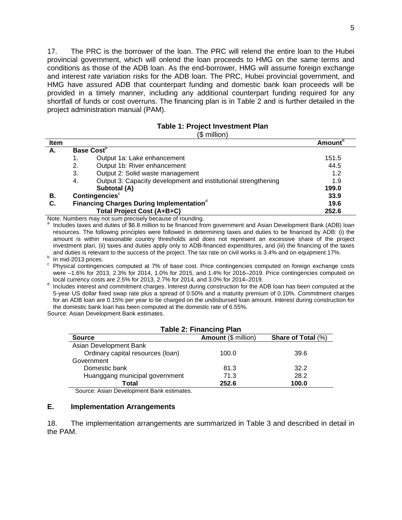17. The PRC is the borrower of the loan. The PRC will relend the entire loan to the Hubei provincial government, which will onlend the loan proceeds to HMG on the same terms and conditions as those of the ADB loan. As the end-borrower, HMG will assume foreign exchange and interest rate variation risks for the ADB loan. The PRC, Hubei provincial government, and HMG have assured ADB that counterpart funding and domestic bank loan proceeds will be provided in a timely manner, including any additional counterpart funding required for any shortfall of funds or cost overruns. The financing plan is in Table 2 and is further detailed in the project administration manual (PAM).

#### **Table 1: Project Investment Plan**

#### (\$ million)

| <b>Item</b> |    |                                                                | <b>Amount</b> <sup>a</sup> |
|-------------|----|----------------------------------------------------------------|----------------------------|
| А.          |    | Base Cost <sup>b</sup>                                         |                            |
|             |    | Output 1a: Lake enhancement                                    | 151.5                      |
|             | 2. | Output 1b: River enhancement                                   | 44.5                       |
|             | 3. | Output 2: Solid waste management                               | 1.2                        |
|             | 4. | Output 3: Capacity development and institutional strengthening | 1.9                        |
|             |    | Subtotal (A)                                                   | 199.0                      |
| В.          |    | Contingencies <sup>c</sup>                                     | 33.9                       |
| C.          |    | Financing Charges During Implementation <sup>d</sup>           | 19.6                       |
|             |    | <b>Total Project Cost (A+B+C)</b>                              | 252.6                      |

Note: Numbers may not sum precisely because of rounding.

<sup>a</sup> Includes taxes and duties of \$6.8 million to be financed from government and Asian Development Bank (ADB) loan resources. The following principles were followed in determining taxes and duties to be financed by ADB: (i) the amount is within reasonable country thresholds and does not represent an excessive share of the project investment plan, (ii) taxes and duties apply only to ADB-financed expenditures, and (iii) the financing of the taxes and duties is relevant to the success of the project. The tax rate on civil works is 3.4% and on equipmen

In mid-2013 prices.<br><sup>b</sup> In mid-2013 prices.<br><sup>c</sup> Physical contingencies computed at 7% of base cost. Price contingencies computed on foreign exchange costs were  $-1.6\%$  for 2013, 2.3% for 2014, 1.0% for 2015, and 1.4% for 2016–2019. Price contingencies computed on local currency costs are 2.5% for 2013, 2.7% for 2014, and 3.0% for 2014–2019.

d Includes interest and commitment charges. Interest during construction for the ADB loan has been computed at the 5-year US dollar fixed swap rate plus a spread of 0.50% and a maturity premium of 0.10%. Commitment charges for an ADB loan are 0.15% per year to be charged on the undisbursed loan amount. Interest during construction for the domestic bank loan has been computed at the domestic rate of 6.55%.

Source: Asian Development Bank estimates.

| <b>Table 2: Financing Plan</b>                             |       |      |  |  |
|------------------------------------------------------------|-------|------|--|--|
| Amount (\$ million)<br>Share of Total (%)<br><b>Source</b> |       |      |  |  |
| Asian Development Bank                                     |       |      |  |  |
| Ordinary capital resources (loan)                          | 100.0 | 39.6 |  |  |
| Government                                                 |       |      |  |  |
| Domestic bank                                              | 81.3  | 32.2 |  |  |
| Huanggang municipal government                             | 71.3  | 28.2 |  |  |
| Total<br>252.6<br>100.0                                    |       |      |  |  |

Source: Asian Development Bank estimates.

#### <span id="page-9-0"></span>**E. Implementation Arrangements**

18. The implementation arrangements are summarized in Table 3 and described in detail in the PAM.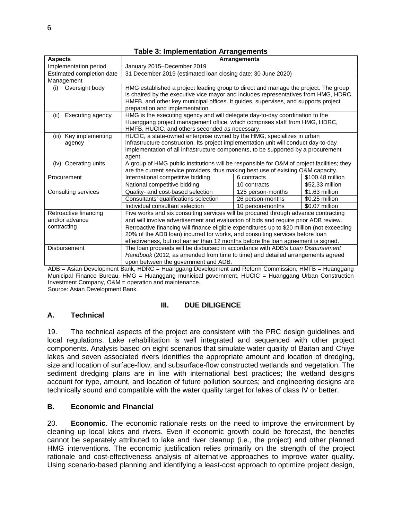| <b>Aspects</b>                                      |                                                                                            | <b>Arrangements</b> |                  |
|-----------------------------------------------------|--------------------------------------------------------------------------------------------|---------------------|------------------|
| Implementation period                               | January 2015-December 2019                                                                 |                     |                  |
| Estimated completion date                           | 31 December 2019 (estimated loan closing date: 30 June 2020)                               |                     |                  |
| Management                                          |                                                                                            |                     |                  |
| Oversight body<br>(i)                               | HMG established a project leading group to direct and manage the project. The group        |                     |                  |
|                                                     | is chaired by the executive vice mayor and includes representatives from HMG, HDRC,        |                     |                  |
|                                                     | HMFB, and other key municipal offices. It guides, supervises, and supports project         |                     |                  |
|                                                     | preparation and implementation.                                                            |                     |                  |
| Executing agency<br>(ii)                            | HMG is the executing agency and will delegate day-to-day coordination to the               |                     |                  |
|                                                     | Huanggang project management office, which comprises staff from HMG, HDRC,                 |                     |                  |
|                                                     | HMFB, HUCIC, and others seconded as necessary.                                             |                     |                  |
| Key implementing<br>(iii)                           | HUCIC, a state-owned enterprise owned by the HMG, specializes in urban                     |                     |                  |
| agency                                              | infrastructure construction. Its project implementation unit will conduct day-to-day       |                     |                  |
|                                                     | implementation of all infrastructure components, to be supported by a procurement          |                     |                  |
|                                                     | agent.                                                                                     |                     |                  |
| Operating units<br>(iv)                             | A group of HMG public institutions will be responsible for O&M of project facilities; they |                     |                  |
|                                                     | are the current service providers, thus making best use of existing O&M capacity.          |                     |                  |
| Procurement                                         | International competitive bidding                                                          | 6 contracts         | \$100.48 million |
|                                                     | National competitive bidding                                                               | 10 contracts        | \$52.33 million  |
| Consulting services                                 | Quality- and cost-based selection                                                          | 125 person-months   | \$1.63 million   |
|                                                     | Consultants' qualifications selection                                                      | 26 person-months    | \$0.25 million   |
| Individual consultant selection<br>10 person-months |                                                                                            | \$0.07 million      |                  |
| Retroactive financing                               | Five works and six consulting services will be procured through advance contracting        |                     |                  |
| and/or advance                                      | and will involve advertisement and evaluation of bids and require prior ADB review.        |                     |                  |
| contracting                                         | Retroactive financing will finance eligible expenditures up to \$20 million (not exceeding |                     |                  |
|                                                     | 20% of the ADB loan) incurred for works, and consulting services before loan               |                     |                  |
|                                                     | effectiveness, but not earlier than 12 months before the loan agreement is signed.         |                     |                  |
| Disbursement                                        | The loan proceeds will be disbursed in accordance with ADB's Loan Disbursement             |                     |                  |
|                                                     | Handbook (2012, as amended from time to time) and detailed arrangements agreed             |                     |                  |
|                                                     | upon between the government and ADB.                                                       |                     |                  |

**Table 3: Implementation Arrangements**

ADB = Asian Development Bank, HDRC = Huanggang Development and Reform Commission, HMFB = Huanggang Municipal Finance Bureau, HMG = Huanggang municipal government, HUCIC = Huanggang Urban Construction Investment Company, O&M = operation and maintenance.

Source: Asian Development Bank.

#### **III. DUE DILIGENCE**

## <span id="page-10-1"></span><span id="page-10-0"></span>**A. Technical**

19. The technical aspects of the project are consistent with the PRC design guidelines and local regulations. Lake rehabilitation is well integrated and sequenced with other project components. Analysis based on eight scenarios that simulate water quality of Baitan and Chiye lakes and seven associated rivers identifies the appropriate amount and location of dredging, size and location of surface-flow, and subsurface-flow constructed wetlands and vegetation. The sediment dredging plans are in line with international best practices; the wetland designs account for type, amount, and location of future pollution sources; and engineering designs are technically sound and compatible with the water quality target for lakes of class IV or better.

## <span id="page-10-2"></span>**B. Economic and Financial**

20. **Economic**. The economic rationale rests on the need to improve the environment by cleaning up local lakes and rivers. Even if economic growth could be forecast, the benefits cannot be separately attributed to lake and river cleanup (i.e., the project) and other planned HMG interventions. The economic justification relies primarily on the strength of the project rationale and cost-effectiveness analysis of alternative approaches to improve water quality. Using scenario-based planning and identifying a least-cost approach to optimize project design,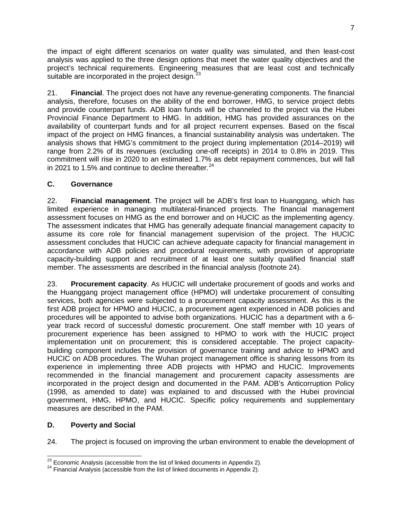the impact of eight different scenarios on water quality was simulated, and then least-cost analysis was applied to the three design options that meet the water quality objectives and the project's technical requirements. Engineering measures that are least cost and technically suitable are incorporated in the project design.<sup>2</sup>

21. **Financial**. The project does not have any revenue-generating components. The financial analysis, therefore, focuses on the ability of the end borrower, HMG, to service project debts and provide counterpart funds. ADB loan funds will be channeled to the project via the Hubei Provincial Finance Department to HMG. In addition, HMG has provided assurances on the availability of counterpart funds and for all project recurrent expenses. Based on the fiscal impact of the project on HMG finances, a financial sustainability analysis was undertaken. The analysis shows that HMG's commitment to the project during implementation (2014–2019) will range from 2.2% of its revenues (excluding one-off receipts) in 2014 to 0.8% in 2019. This commitment will rise in 2020 to an estimated 1.7% as debt repayment commences, but will fall in 2021 to 1.5% and continue to decline thereafter.  $24$ 

## <span id="page-11-0"></span>**C. Governance**

22. **Financial management**. The project will be ADB's first loan to Huanggang, which has limited experience in managing multilateral-financed projects. The financial management assessment focuses on HMG as the end borrower and on HUCIC as the implementing agency. The assessment indicates that HMG has generally adequate financial management capacity to assume its core role for financial management supervision of the project. The HUCIC assessment concludes that HUCIC can achieve adequate capacity for financial management in accordance with ADB policies and procedural requirements, with provision of appropriate capacity-building support and recruitment of at least one suitably qualified financial staff member. The assessments are described in the financial analysis (footnote 24).

23. **Procurement capacity**. As HUCIC will undertake procurement of goods and works and the Huanggang project management office (HPMO) will undertake procurement of consulting services, both agencies were subjected to a procurement capacity assessment. As this is the first ADB project for HPMO and HUCIC, a procurement agent experienced in ADB policies and procedures will be appointed to advise both organizations. HUCIC has a department with a 6 year track record of successful domestic procurement. One staff member with 10 years of procurement experience has been assigned to HPMO to work with the HUCIC project implementation unit on procurement; this is considered acceptable. The project capacitybuilding component includes the provision of governance training and advice to HPMO and HUCIC on ADB procedures. The Wuhan project management office is sharing lessons from its experience in implementing three ADB projects with HPMO and HUCIC. Improvements recommended in the financial management and procurement capacity assessments are incorporated in the project design and documented in the PAM. ADB's Anticorruption Policy (1998, as amended to date) was explained to and discussed with the Hubei provincial government, HMG, HPMO, and HUCIC. Specific policy requirements and supplementary measures are described in the PAM.

## <span id="page-11-1"></span>**D. Poverty and Social**

24. The project is focused on improving the urban environment to enable the development of

<span id="page-11-2"></span><sup>&</sup>lt;sup>23</sup> Economic Analysis (accessible from the list of linked documents in Appendix 2).

<span id="page-11-3"></span> $24$  Financial Analysis (accessible from the list of linked documents in Appendix 2).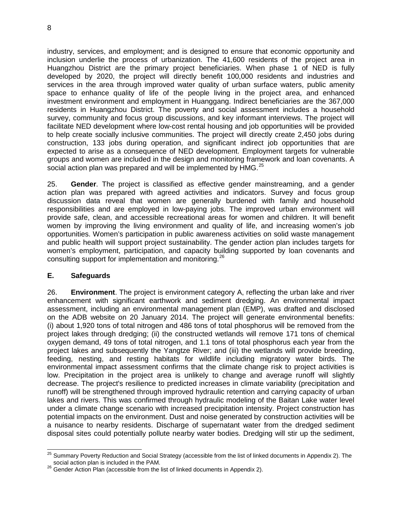8

industry, services, and employment; and is designed to ensure that economic opportunity and inclusion underlie the process of urbanization. The 41,600 residents of the project area in Huangzhou District are the primary project beneficiaries. When phase 1 of NED is fully developed by 2020, the project will directly benefit 100,000 residents and industries and services in the area through improved water quality of urban surface waters, public amenity space to enhance quality of life of the people living in the project area, and enhanced investment environment and employment in Huanggang. Indirect beneficiaries are the 367,000 residents in Huangzhou District. The poverty and social assessment includes a household survey, community and focus group discussions, and key informant interviews. The project will facilitate NED development where low-cost rental housing and job opportunities will be provided to help create socially inclusive communities. The project will directly create 2,450 jobs during construction, 133 jobs during operation, and significant indirect job opportunities that are expected to arise as a consequence of NED development. Employment targets for vulnerable groups and women are included in the design and monitoring framework and loan covenants. A social action plan was prepared and will be implemented by HMG.<sup>[25](#page-12-1)</sup>

25. **Gender**. The project is classified as effective gender mainstreaming, and a gender action plan was prepared with agreed activities and indicators. Survey and focus group discussion data reveal that women are generally burdened with family and household responsibilities and are employed in low-paying jobs. The improved urban environment will provide safe, clean, and accessible recreational areas for women and children. It will benefit women by improving the living environment and quality of life, and increasing women's job opportunities. Women's participation in public awareness activities on solid waste management and public health will support project sustainability. The gender action plan includes targets for women's employment, participation, and capacity building supported by loan covenants and consulting support for implementation and monitoring.<sup>[26](#page-12-2)</sup>

## <span id="page-12-0"></span>**E. Safeguards**

26. **Environment**. The project is environment category A, reflecting the urban lake and river enhancement with significant earthwork and sediment dredging. An environmental impact assessment, including an environmental management plan (EMP), was drafted and disclosed on the ADB website on 20 January 2014. The project will generate environmental benefits: (i) about 1,920 tons of total nitrogen and 486 tons of total phosphorus will be removed from the project lakes through dredging; (ii) the constructed wetlands will remove 171 tons of chemical oxygen demand, 49 tons of total nitrogen, and 1.1 tons of total phosphorus each year from the project lakes and subsequently the Yangtze River; and (iii) the wetlands will provide breeding, feeding, nesting, and resting habitats for wildlife including migratory water birds. The environmental impact assessment confirms that the climate change risk to project activities is low. Precipitation in the project area is unlikely to change and average runoff will slightly decrease. The project's resilience to predicted increases in climate variability (precipitation and runoff) will be strengthened through improved hydraulic retention and carrying capacity of urban lakes and rivers. This was confirmed through hydraulic modeling of the Baitan Lake water level under a climate change scenario with increased precipitation intensity. Project construction has potential impacts on the environment. Dust and noise generated by construction activities will be a nuisance to nearby residents. Discharge of supernatant water from the dredged sediment disposal sites could potentially pollute nearby water bodies. Dredging will stir up the sediment,

<span id="page-12-1"></span><sup>&</sup>lt;sup>25</sup> Summary Poverty Reduction and Social Strategy (accessible from the list of linked documents in Appendix 2). The social action plan is included in the PAM.<br><sup>26</sup> Gender Action Plan (accessible from the list of linked documents in Appendix 2).  $\overline{a}$ 

<span id="page-12-2"></span>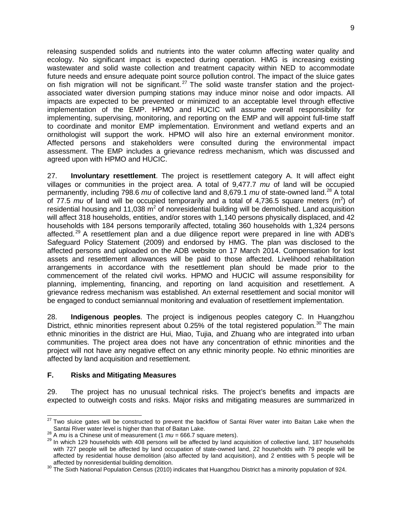releasing suspended solids and nutrients into the water column affecting water quality and ecology. No significant impact is expected during operation. HMG is increasing existing wastewater and solid waste collection and treatment capacity within NED to accommodate future needs and ensure adequate point source pollution control. The impact of the sluice gates on fish migration will not be significant.<sup>[27](#page-13-1)</sup> The solid waste transfer station and the projectassociated water diversion pumping stations may induce minor noise and odor impacts. All impacts are expected to be prevented or minimized to an acceptable level through effective implementation of the EMP. HPMO and HUCIC will assume overall responsibility for implementing, supervising, monitoring, and reporting on the EMP and will appoint full-time staff to coordinate and monitor EMP implementation. Environment and wetland experts and an ornithologist will support the work. HPMO will also hire an external environment monitor. Affected persons and stakeholders were consulted during the environmental impact assessment. The EMP includes a grievance redress mechanism, which was discussed and agreed upon with HPMO and HUCIC.

27. **Involuntary resettlement**. The project is resettlement category A. It will affect eight villages or communities in the project area. A total of 9,477.7 *mu* of land will be occupied permanently, including 798.6 *mu* of collective land and 8,679.1 *mu* of state-owned land.[28](#page-13-2) A total of 77.5  $mu$  of land will be occupied temporarily and a total of 4,736.5 square meters  $(m<sup>2</sup>)$  of residential housing and 11,038  $m^2$  of nonresidential building will be demolished. Land acquisition will affect 318 households, entities, and/or stores with 1,140 persons physically displaced, and 42 households with 184 persons temporarily affected, totaling 360 households with 1,324 persons affected.<sup>[29](#page-13-3)</sup> A resettlement plan and a due diligence report were prepared in line with ADB's Safeguard Policy Statement (2009) and endorsed by HMG. The plan was disclosed to the affected persons and uploaded on the ADB website on 17 March 2014. Compensation for lost assets and resettlement allowances will be paid to those affected. Livelihood rehabilitation arrangements in accordance with the resettlement plan should be made prior to the commencement of the related civil works. HPMO and HUCIC will assume responsibility for planning, implementing, financing, and reporting on land acquisition and resettlement. A grievance redress mechanism was established. An external resettlement and social monitor will be engaged to conduct semiannual monitoring and evaluation of resettlement implementation.

28. **Indigenous peoples**. The project is indigenous peoples category C. In Huangzhou District, ethnic minorities represent about  $0.25\%$  of the total registered population.<sup>[30](#page-13-4)</sup> The main ethnic minorities in the district are Hui, Miao, Tujia, and Zhuang who are integrated into urban communities. The project area does not have any concentration of ethnic minorities and the project will not have any negative effect on any ethnic minority people. No ethnic minorities are affected by land acquisition and resettlement.

## <span id="page-13-0"></span>**F. Risks and Mitigating Measures**

29. The project has no unusual technical risks. The project's benefits and impacts are expected to outweigh costs and risks. Major risks and mitigating measures are summarized in

<span id="page-13-1"></span> $^{27}$  Two sluice gates will be constructed to prevent the backflow of Santai River water into Baitan Lake when the Santai River water level is higher than that of Baitan Lake.<br><sup>28</sup> A *mu* is a Chinese unit of measurement (1  $mu = 666.7$  square meters).<br><sup>29</sup> In which 129 households with 408 persons will be affected by land acquisition of  $\overline{a}$ 

<span id="page-13-3"></span><span id="page-13-2"></span>with 727 people will be affected by land occupation of state-owned land, 22 households with 79 people will be affected by residential house demolition (also affected by land acquisition), and 2 entities with 5 people will be affected by nonresidential building demolition.<br><sup>30</sup> The Sixth National Population Census (2010) indicates that Huangzhou District has a minority population of 924.

<span id="page-13-4"></span>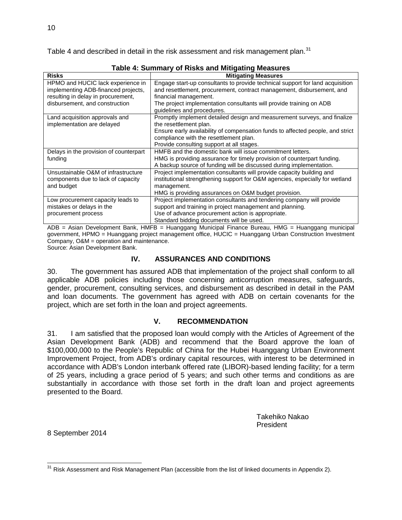Table 4 and described in detail in the risk assessment and risk management plan.<sup>[31](#page-14-2)</sup>

| <b>Risks</b>                           | <b>Mitigating Measures</b>                                                     |
|----------------------------------------|--------------------------------------------------------------------------------|
| HPMO and HUCIC lack experience in      | Engage start-up consultants to provide technical support for land acquisition  |
| implementing ADB-financed projects,    | and resettlement, procurement, contract management, disbursement, and          |
| resulting in delay in procurement,     | financial management.                                                          |
| disbursement, and construction         | The project implementation consultants will provide training on ADB            |
|                                        | guidelines and procedures.                                                     |
| Land acquisition approvals and         | Promptly implement detailed design and measurement surveys, and finalize       |
| implementation are delayed             | the resettlement plan.                                                         |
|                                        | Ensure early availability of compensation funds to affected people, and strict |
|                                        | compliance with the resettlement plan.                                         |
|                                        | Provide consulting support at all stages.                                      |
| Delays in the provision of counterpart | HMFB and the domestic bank will issue commitment letters.                      |
| funding                                | HMG is providing assurance for timely provision of counterpart funding.        |
|                                        | A backup source of funding will be discussed during implementation.            |
| Unsustainable O&M of infrastructure    | Project implementation consultants will provide capacity building and          |
| components due to lack of capacity     | institutional strengthening support for O&M agencies, especially for wetland   |
| and budget                             | management.                                                                    |
|                                        | HMG is providing assurances on O&M budget provision.                           |
| Low procurement capacity leads to      | Project implementation consultants and tendering company will provide          |
| mistakes or delays in the              | support and training in project management and planning.                       |
| procurement process                    | Use of advance procurement action is appropriate.                              |
|                                        | Standard bidding documents will be used.                                       |

**Table 4: Summary of Risks and Mitigating Measures**

ADB = Asian Development Bank, HMFB = Huanggang Municipal Finance Bureau, HMG = Huanggang municipal government, HPMO = Huanggang project management office, HUCIC = Huanggang Urban Construction Investment Company, O&M = operation and maintenance. Source: Asian Development Bank.

#### **IV. ASSURANCES AND CONDITIONS**

<span id="page-14-0"></span>30. The government has assured ADB that implementation of the project shall conform to all applicable ADB policies including those concerning anticorruption measures, safeguards, gender, procurement, consulting services, and disbursement as described in detail in the PAM and loan documents. The government has agreed with ADB on certain covenants for the project, which are set forth in the loan and project agreements.

## **V. RECOMMENDATION**

<span id="page-14-1"></span>31. I am satisfied that the proposed loan would comply with the Articles of Agreement of the Asian Development Bank (ADB) and recommend that the Board approve the loan of \$100,000,000 to the People's Republic of China for the Hubei Huanggang Urban Environment Improvement Project, from ADB's ordinary capital resources, with interest to be determined in accordance with ADB's London interbank offered rate (LIBOR)-based lending facility; for a term of 25 years, including a grace period of 5 years; and such other terms and conditions as are substantially in accordance with those set forth in the draft loan and project agreements presented to the Board.

> Takehiko Nakao President

8 September 2014

<span id="page-14-2"></span> $31$  Risk Assessment and Risk Management Plan (accessible from the list of linked documents in Appendix 2). j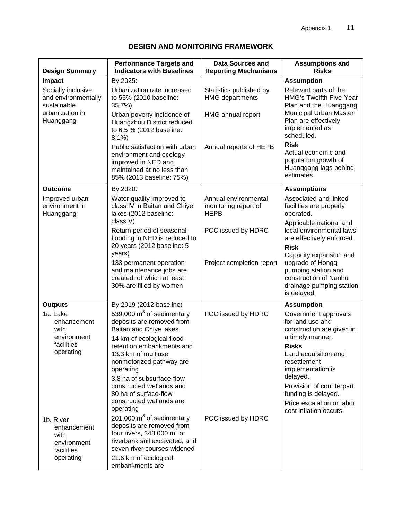| <b>Design Summary</b>                                         | <b>Performance Targets and</b><br><b>Indicators with Baselines</b>                                                                                                | <b>Data Sources and</b><br><b>Reporting Mechanisms</b>      | <b>Assumptions and</b><br><b>Risks</b>                                                                                                                |
|---------------------------------------------------------------|-------------------------------------------------------------------------------------------------------------------------------------------------------------------|-------------------------------------------------------------|-------------------------------------------------------------------------------------------------------------------------------------------------------|
| <b>Impact</b>                                                 | By 2025:                                                                                                                                                          |                                                             | <b>Assumption</b>                                                                                                                                     |
| Socially inclusive<br>and environmentally<br>sustainable      | Urbanization rate increased<br>to 55% (2010 baseline:<br>35.7%)                                                                                                   | Statistics published by<br><b>HMG</b> departments           | Relevant parts of the<br><b>HMG's Twelfth Five-Year</b><br>Plan and the Huanggang                                                                     |
| urbanization in<br>Huanggang                                  | Urban poverty incidence of<br>Huangzhou District reduced<br>to 6.5 % (2012 baseline:<br>8.1%                                                                      | HMG annual report                                           | Municipal Urban Master<br>Plan are effectively<br>implemented as<br>scheduled.                                                                        |
|                                                               | Public satisfaction with urban<br>environment and ecology<br>improved in NED and<br>maintained at no less than<br>85% (2013 baseline: 75%)                        | Annual reports of HEPB                                      | <b>Risk</b><br>Actual economic and<br>population growth of<br>Huanggang lags behind<br>estimates.                                                     |
| <b>Outcome</b>                                                | By 2020:                                                                                                                                                          |                                                             | <b>Assumptions</b>                                                                                                                                    |
| Improved urban<br>environment in<br>Huanggang                 | Water quality improved to<br>class IV in Baitan and Chiye<br>lakes (2012 baseline:                                                                                | Annual environmental<br>monitoring report of<br><b>HEPB</b> | Associated and linked<br>facilities are properly<br>operated.                                                                                         |
|                                                               | class V)<br>Return period of seasonal<br>flooding in NED is reduced to                                                                                            | PCC issued by HDRC                                          | Applicable national and<br>local environmental laws<br>are effectively enforced.                                                                      |
|                                                               | 20 years (2012 baseline: 5<br>years)<br>133 permanent operation<br>and maintenance jobs are<br>created, of which at least<br>30% are filled by women              | Project completion report                                   | <b>Risk</b><br>Capacity expansion and<br>upgrade of Hongqi<br>pumping station and<br>construction of Nanhu<br>drainage pumping station<br>is delayed. |
| <b>Outputs</b>                                                | By 2019 (2012 baseline)                                                                                                                                           |                                                             | <b>Assumption</b>                                                                                                                                     |
| 1a. Lake<br>enhancement<br>with<br>environment<br>facilities  | 539,000 $m3$ of sedimentary<br>deposits are removed from<br>Baitan and Chiye lakes<br>14 km of ecological flood<br>retention embankments and                      | PCC issued by HDRC                                          | Government approvals<br>for land use and<br>construction are given in<br>a timely manner.<br><b>Risks</b>                                             |
| operating                                                     | 13.3 km of multiuse<br>nonmotorized pathway are<br>operating                                                                                                      |                                                             | Land acquisition and<br>resettlement<br>implementation is                                                                                             |
|                                                               | 3.8 ha of subsurface-flow<br>constructed wetlands and<br>80 ha of surface-flow<br>constructed wetlands are                                                        |                                                             | delayed.<br>Provision of counterpart<br>funding is delayed.                                                                                           |
|                                                               | operating                                                                                                                                                         |                                                             | Price escalation or labor<br>cost inflation occurs.                                                                                                   |
| 1b. River<br>enhancement<br>with<br>environment<br>facilities | 201,000 $m3$ of sedimentary<br>deposits are removed from<br>four rivers, $343,000 \text{ m}^3$ of<br>riverbank soil excavated, and<br>seven river courses widened | PCC issued by HDRC                                          |                                                                                                                                                       |
| operating                                                     | 21.6 km of ecological<br>embankments are                                                                                                                          |                                                             |                                                                                                                                                       |

## **DESIGN AND MONITORING FRAMEWORK**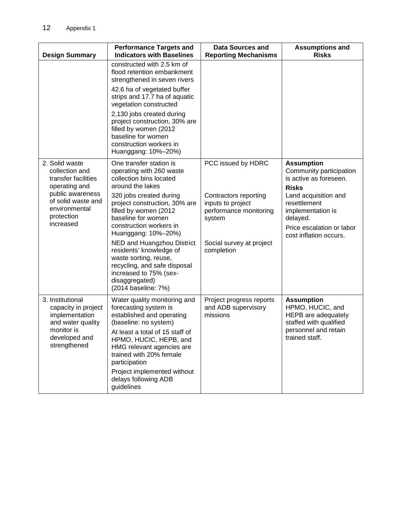| <b>Design Summary</b>                                                                                                         | <b>Performance Targets and</b><br><b>Indicators with Baselines</b>                                                                                                                                                                                | <b>Data Sources and</b><br><b>Reporting Mechanisms</b>                         | <b>Assumptions and</b><br><b>Risks</b>                                                                                           |
|-------------------------------------------------------------------------------------------------------------------------------|---------------------------------------------------------------------------------------------------------------------------------------------------------------------------------------------------------------------------------------------------|--------------------------------------------------------------------------------|----------------------------------------------------------------------------------------------------------------------------------|
|                                                                                                                               | constructed with 2.5 km of<br>flood retention embankment<br>strengthened in seven rivers                                                                                                                                                          |                                                                                |                                                                                                                                  |
|                                                                                                                               | 42.6 ha of vegetated buffer<br>strips and 17.7 ha of aquatic<br>vegetation constructed                                                                                                                                                            |                                                                                |                                                                                                                                  |
|                                                                                                                               | 2,130 jobs created during<br>project construction, 30% are<br>filled by women (2012<br>baseline for women<br>construction workers in<br>Huanggang: 10%-20%)                                                                                       |                                                                                |                                                                                                                                  |
| 2. Solid waste<br>collection and<br>transfer facilities<br>operating and                                                      | One transfer station is<br>operating with 260 waste<br>collection bins located<br>around the lakes                                                                                                                                                | PCC issued by HDRC                                                             | <b>Assumption</b><br>Community participation<br>is active as foreseen.<br><b>Risks</b>                                           |
| public awareness<br>of solid waste and<br>environmental<br>protection<br>increased                                            | 320 jobs created during<br>project construction, 30% are<br>filled by women (2012<br>baseline for women<br>construction workers in<br>Huanggang: 10%-20%)                                                                                         | Contractors reporting<br>inputs to project<br>performance monitoring<br>system | Land acquisition and<br>resettlement<br>implementation is<br>delayed.<br>Price escalation or labor<br>cost inflation occurs.     |
|                                                                                                                               | NED and Huangzhou District<br>residents' knowledge of<br>waste sorting, reuse,<br>recycling, and safe disposal<br>increased to 75% (sex-<br>disaggregated)<br>(2014 baseline: 7%)                                                                 | Social survey at project<br>completion                                         |                                                                                                                                  |
| 3. Institutional<br>capacity in project<br>implementation<br>and water quality<br>monitor is<br>developed and<br>strengthened | Water quality monitoring and<br>forecasting system is<br>established and operating<br>(baseline: no system)<br>At least a total of 15 staff of<br>HPMO, HUCIC, HEPB, and<br>HMG relevant agencies are<br>trained with 20% female<br>participation | Project progress reports<br>and ADB supervisory<br>missions                    | <b>Assumption</b><br>HPMO, HUCIC, and<br>HEPB are adequately<br>staffed with qualified<br>personnel and retain<br>trained staff. |
|                                                                                                                               | Project implemented without<br>delays following ADB<br>guidelines                                                                                                                                                                                 |                                                                                |                                                                                                                                  |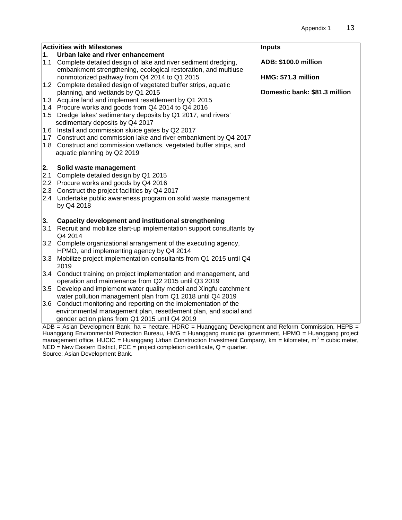|     | <b>Activities with Milestones</b>                                     | <b>Inputs</b>                 |
|-----|-----------------------------------------------------------------------|-------------------------------|
| 1.  | Urban lake and river enhancement                                      |                               |
|     | 1.1 Complete detailed design of lake and river sediment dredging,     | ADB: \$100.0 million          |
|     | embankment strengthening, ecological restoration, and multiuse        |                               |
|     | nonmotorized pathway from Q4 2014 to Q1 2015                          | HMG: \$71.3 million           |
|     | 1.2 Complete detailed design of vegetated buffer strips, aquatic      |                               |
|     | planning, and wetlands by Q1 2015                                     | Domestic bank: \$81.3 million |
|     | 1.3 Acquire land and implement resettlement by Q1 2015                |                               |
|     | 1.4 Procure works and goods from Q4 2014 to Q4 2016                   |                               |
|     | 1.5 Dredge lakes' sedimentary deposits by Q1 2017, and rivers'        |                               |
|     | sedimentary deposits by Q4 2017                                       |                               |
|     | 1.6 Install and commission sluice gates by Q2 2017                    |                               |
|     | 1.7 Construct and commission lake and river embankment by Q4 2017     |                               |
|     | 1.8 Construct and commission wetlands, vegetated buffer strips, and   |                               |
|     | aquatic planning by Q2 2019                                           |                               |
|     |                                                                       |                               |
| 2.  | Solid waste management                                                |                               |
| 2.1 | Complete detailed design by Q1 2015                                   |                               |
|     | 2.2 Procure works and goods by Q4 2016                                |                               |
|     | 2.3 Construct the project facilities by Q4 2017                       |                               |
|     | 2.4 Undertake public awareness program on solid waste management      |                               |
|     | by Q4 2018                                                            |                               |
|     |                                                                       |                               |
| 3.  | <b>Capacity development and institutional strengthening</b>           |                               |
| 3.1 | Recruit and mobilize start-up implementation support consultants by   |                               |
|     | Q4 2014                                                               |                               |
|     | 3.2 Complete organizational arrangement of the executing agency,      |                               |
|     | HPMO, and implementing agency by Q4 2014                              |                               |
|     | 3.3 Mobilize project implementation consultants from Q1 2015 until Q4 |                               |
|     | 2019                                                                  |                               |
|     | 3.4 Conduct training on project implementation and management, and    |                               |
|     | operation and maintenance from Q2 2015 until Q3 2019                  |                               |
|     | 3.5 Develop and implement water quality model and Xingfu catchment    |                               |
|     | water pollution management plan from Q1 2018 until Q4 2019            |                               |
|     | 3.6 Conduct monitoring and reporting on the implementation of the     |                               |
|     | environmental management plan, resettlement plan, and social and      |                               |
|     | gender action plans from Q1 2015 until Q4 2019                        |                               |

ADB = Asian Development Bank, ha = hectare, HDRC = Huanggang Development and Reform Commission, HEPB = Huanggang Environmental Protection Bureau, HMG = Huanggang municipal government, HPMO = Huanggang project management office, HUCIC = Huanggang Urban Construction Investment Company, km = kilometer,  $m^3$  = cubic meter,  $NED = New Eastern District, PCC = project completion certificate,  $Q = quarter$ .$ Source: Asian Development Bank.